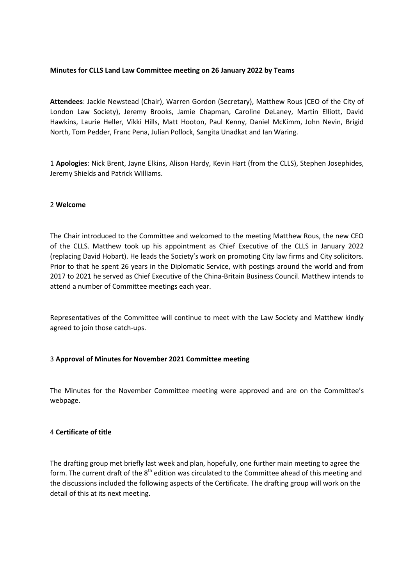### **Minutes for CLLS Land Law Committee meeting on 26 January 2022 by Teams**

**Attendees**: Jackie Newstead (Chair), Warren Gordon (Secretary), Matthew Rous (CEO of the City of London Law Society), Jeremy Brooks, Jamie Chapman, Caroline DeLaney, Martin Elliott, David Hawkins, Laurie Heller, Vikki Hills, Matt Hooton, Paul Kenny, Daniel McKimm, John Nevin, Brigid North, Tom Pedder, Franc Pena, Julian Pollock, Sangita Unadkat and Ian Waring.

1 **Apologies**: Nick Brent, Jayne Elkins, Alison Hardy, Kevin Hart (from the CLLS), Stephen Josephides, Jeremy Shields and Patrick Williams.

#### 2 **Welcome**

The Chair introduced to the Committee and welcomed to the meeting Matthew Rous, the new CEO of the CLLS. Matthew took up his appointment as Chief Executive of the CLLS in January 2022 (replacing David Hobart). He leads the Society's work on promoting City law firms and City solicitors. Prior to that he spent 26 years in the Diplomatic Service, with postings around the world and from 2017 to 2021 he served as Chief Executive of the China-Britain Business Council. Matthew intends to attend a number of Committee meetings each year.

Representatives of the Committee will continue to meet with the Law Society and Matthew kindly agreed to join those catch-ups.

### 3 **Approval of Minutes for November 2021 Committee meeting**

The [Minutes](https://www.citysolicitors.org.uk/storage/2021/12/Land-Law-Committee-Minutes-November-2021.pdf) for the November Committee meeting were approved and are on the Committee's webpage.

### 4 **Certificate of title**

The drafting group met briefly last week and plan, hopefully, one further main meeting to agree the form. The current draft of the  $8<sup>th</sup>$  edition was circulated to the Committee ahead of this meeting and the discussions included the following aspects of the Certificate. The drafting group will work on the detail of this at its next meeting.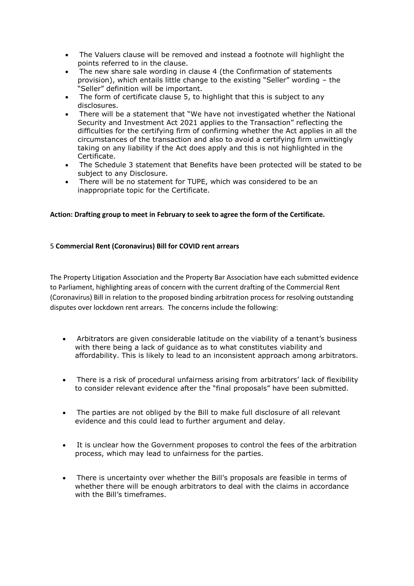- The Valuers clause will be removed and instead a footnote will highlight the points referred to in the clause.
- The new share sale wording in clause 4 (the Confirmation of statements provision), which entails little change to the existing "Seller" wording – the "Seller" definition will be important.
- The form of certificate clause 5, to highlight that this is subject to any disclosures.
- There will be a statement that "We have not investigated whether the National Security and Investment Act 2021 applies to the Transaction" reflecting the difficulties for the certifying firm of confirming whether the Act applies in all the circumstances of the transaction and also to avoid a certifying firm unwittingly taking on any liability if the Act does apply and this is not highlighted in the Certificate.
- The Schedule 3 statement that Benefits have been protected will be stated to be subject to any Disclosure.
- There will be no statement for TUPE, which was considered to be an inappropriate topic for the Certificate.

## **Action: Drafting group to meet in February to seek to agree the form of the Certificate.**

## 5 **Commercial Rent (Coronavirus) Bill for COVID rent arrears**

The Property Litigation Association and the Property Bar Association have each submitted evidence to Parliament, highlighting areas of concern with the current drafting of the Commercial Rent (Coronavirus) Bill in relation to the proposed binding arbitration process for resolving outstanding disputes over lockdown rent arrears. The concerns include the following:

- Arbitrators are given considerable latitude on the viability of a tenant's business with there being a lack of guidance as to what constitutes viability and affordability. This is likely to lead to an inconsistent approach among arbitrators.
- There is a risk of procedural unfairness arising from arbitrators' lack of flexibility to consider relevant evidence after the "final proposals" have been submitted.
- The parties are not obliged by the Bill to make full disclosure of all relevant evidence and this could lead to further argument and delay.
- It is unclear how the Government proposes to control the fees of the arbitration process, which may lead to unfairness for the parties.
- There is uncertainty over whether the Bill's proposals are feasible in terms of whether there will be enough arbitrators to deal with the claims in accordance with the Bill's timeframes.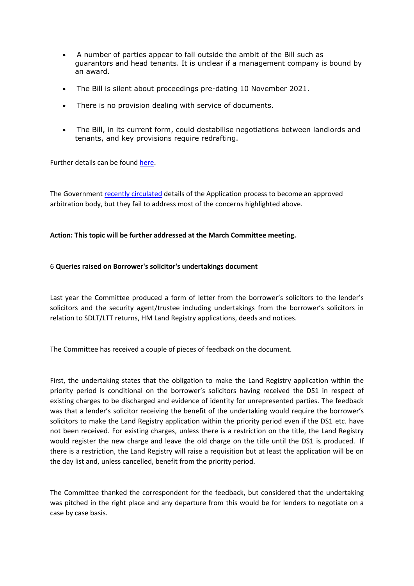- A number of parties appear to fall outside the ambit of the Bill such as guarantors and head tenants. It is unclear if a management company is bound by an award.
- The Bill is silent about proceedings pre-dating 10 November 2021.
- There is no provision dealing with service of documents.
- The Bill, in its current form, could destabilise negotiations between landlords and tenants, and key provisions require redrafting.

Further details can be found [here.](https://www.pla.org.uk/2022/01/press-coverage-of-the-plas-and-pbas-submission-on-the-serious-defects-in-commercial-rent-coronavirus-bill/)

The Government [recently circulated](https://www.gov.uk/government/publications/apply-for-role-of-arbitration-body-to-manage-rent-related-disputes-process-and-form) details of the Application process to become an approved arbitration body, but they fail to address most of the concerns highlighted above.

### **Action: This topic will be further addressed at the March Committee meeting.**

#### 6 **Queries raised on Borrower's solicitor's undertakings document**

Last year the Committee produced a form of letter from the borrower's solicitors to the lender's solicitors and the security agent/trustee including undertakings from the borrower's solicitors in relation to SDLT/LTT returns, HM Land Registry applications, deeds and notices.

The Committee has received a couple of pieces of feedback on the document.

First, the undertaking states that the obligation to make the Land Registry application within the priority period is conditional on the borrower's solicitors having received the DS1 in respect of existing charges to be discharged and evidence of identity for unrepresented parties. The feedback was that a lender's solicitor receiving the benefit of the undertaking would require the borrower's solicitors to make the Land Registry application within the priority period even if the DS1 etc. have not been received. For existing charges, unless there is a restriction on the title, the Land Registry would register the new charge and leave the old charge on the title until the DS1 is produced. If there is a restriction, the Land Registry will raise a requisition but at least the application will be on the day list and, unless cancelled, benefit from the priority period.

The Committee thanked the correspondent for the feedback, but considered that the undertaking was pitched in the right place and any departure from this would be for lenders to negotiate on a case by case basis.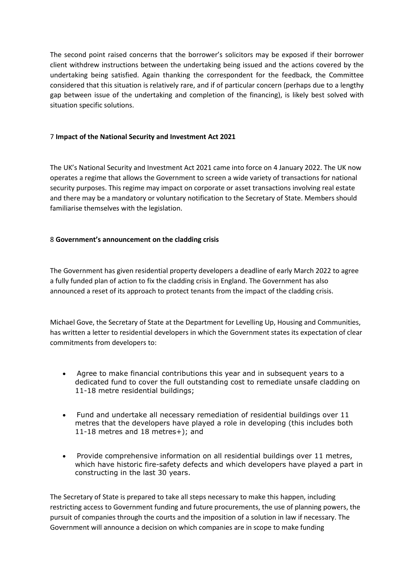The second point raised concerns that the borrower's solicitors may be exposed if their borrower client withdrew instructions between the undertaking being issued and the actions covered by the undertaking being satisfied. Again thanking the correspondent for the feedback, the Committee considered that this situation is relatively rare, and if of particular concern (perhaps due to a lengthy gap between issue of the undertaking and completion of the financing), is likely best solved with situation specific solutions.

## 7 **Impact of the National Security and Investment Act 2021**

The UK's National Security and Investment Act 2021 came into force on 4 January 2022. The UK now operates a regime that allows the Government to screen a wide variety of transactions for national security purposes. This regime may impact on corporate or asset transactions involving real estate and there may be a mandatory or voluntary notification to the Secretary of State. Members should familiarise themselves with the legislation.

## 8 **Government's announcement on the cladding crisis**

The Government has given residential property developers a deadline of early March 2022 to agree a fully funded plan of action to fix the cladding crisis in England. The Government has also announced a reset of its approach to protect tenants from the impact of the cladding crisis.

Michael Gove, the Secretary of State at the Department for Levelling Up, Housing and Communities, has written a letter to residential developers in which the Government states its expectation of clear commitments from developers to:

- Agree to make financial contributions this year and in subsequent years to a dedicated fund to cover the full outstanding cost to remediate unsafe cladding on 11-18 metre residential buildings;
- Fund and undertake all necessary remediation of residential buildings over 11 metres that the developers have played a role in developing (this includes both 11-18 metres and 18 metres+); and
- Provide comprehensive information on all residential buildings over 11 metres, which have historic fire-safety defects and which developers have played a part in constructing in the last 30 years.

The Secretary of State is prepared to take all steps necessary to make this happen, including restricting access to Government funding and future procurements, the use of planning powers, the pursuit of companies through the courts and the imposition of a solution in law if necessary. The Government will announce a decision on which companies are in scope to make funding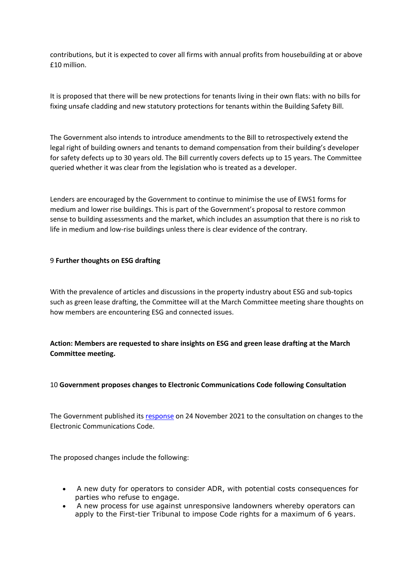contributions, but it is expected to cover all firms with annual profits from housebuilding at or above £10 million.

It is proposed that there will be new protections for tenants living in their own flats: with no bills for fixing unsafe cladding and new statutory protections for tenants within the Building Safety Bill.

The Government also intends to introduce amendments to the Bill to retrospectively extend the legal right of building owners and tenants to demand compensation from their building's developer for safety defects up to 30 years old. The Bill currently covers defects up to 15 years. The Committee queried whether it was clear from the legislation who is treated as a developer.

Lenders are encouraged by the Government to continue to minimise the use of EWS1 forms for medium and lower rise buildings. This is part of the Government's proposal to restore common sense to building assessments and the market, which includes an assumption that there is no risk to life in medium and low-rise buildings unless there is clear evidence of the contrary.

### 9 **Further thoughts on ESG drafting**

With the prevalence of articles and discussions in the property industry about ESG and sub-topics such as green lease drafting, the Committee will at the March Committee meeting share thoughts on how members are encountering ESG and connected issues.

**Action: Members are requested to share insights on ESG and green lease drafting at the March Committee meeting.**

### 10 **Government proposes changes to Electronic Communications Code following Consultation**

The Government published its [response](https://www.gov.uk/government/consultations/consultation-on-changes-to-the-electronic-communications-code/outcome/access-to-land-consultation-on-changes-to-the-electronic-communications-code-government-response#responses) on 24 November 2021 to the consultation on changes to the Electronic Communications Code.

The proposed changes include the following:

- A new duty for operators to consider ADR, with potential costs consequences for parties who refuse to engage.
- A new process for use against unresponsive landowners whereby operators can apply to the First-tier Tribunal to impose Code rights for a maximum of 6 years.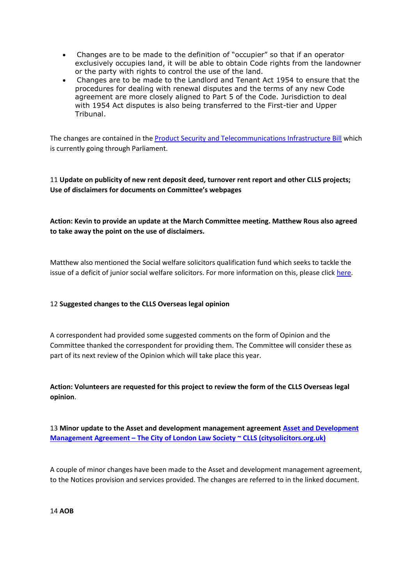- Changes are to be made to the definition of "occupier" so that if an operator exclusively occupies land, it will be able to obtain Code rights from the landowner or the party with rights to control the use of the land.
- Changes are to be made to the Landlord and Tenant Act 1954 to ensure that the procedures for dealing with renewal disputes and the terms of any new Code agreement are more closely aligned to Part 5 of the Code. Jurisdiction to deal with 1954 Act disputes is also being transferred to the First-tier and Upper Tribunal.

The changes are contained in th[e Product Security and Telecommunications Infrastructure Bill](https://bills.parliament.uk/bills/3069) which is currently going through Parliament.

# 11 **Update on publicity of new rent deposit deed, turnover rent report and other CLLS projects; Use of disclaimers for documents on Committee's webpages**

# **Action: Kevin to provide an update at the March Committee meeting. Matthew Rous also agreed to take away the point on the use of disclaimers.**

Matthew also mentioned the Social welfare solicitors qualification fund which seeks to tackle the issue of a deficit of junior social welfare solicitors. For more information on this, please click [here.](https://www.citysolicitors.org.uk/storage/2021/12/SWSQF-PR-6-Dec-21.pdf)

## 12 **Suggested changes to the CLLS Overseas legal opinion**

A correspondent had provided some suggested comments on the form of Opinion and the Committee thanked the correspondent for providing them. The Committee will consider these as part of its next review of the Opinion which will take place this year.

**Action: Volunteers are requested for this project to review the form of the CLLS Overseas legal opinion**.

13 **Minor update to the Asset and development management agreement Asset [and Development](https://www.citysolicitors.org.uk/clls/clls-precedent-documents/land-law-asset-development-management-agreement/)  Management Agreement – [The City of London Law Society ~ CLLS \(citysolicitors.org.uk\)](https://www.citysolicitors.org.uk/clls/clls-precedent-documents/land-law-asset-development-management-agreement/)**

A couple of minor changes have been made to the Asset and development management agreement, to the Notices provision and services provided. The changes are referred to in the linked document.

14 **AOB**